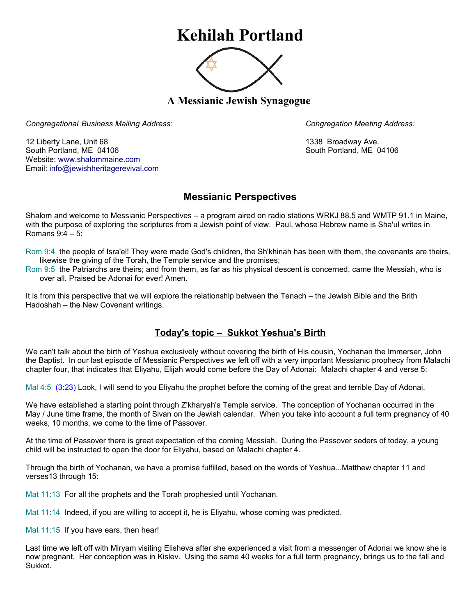## **Kehilah Portland**



**A Messianic Jewish Synagogue** 

*Congregational Business Mailing Address: Congregation Meeting Address:*

12 Liberty Lane, Unit 68 1338 Broadway Ave. South Portland, ME 04106 South Portland, ME 04106 Website: [www.shalommaine.com](http://www.shalommaine.com/) Email: [info@jewishheritagerevival.com](mailto:info@jewishheritagerevival.com) 

## **Messianic Perspectives**

Shalom and welcome to Messianic Perspectives – a program aired on radio stations WRKJ 88.5 and WMTP 91.1 in Maine, with the purpose of exploring the scriptures from a Jewish point of view. Paul, whose Hebrew name is Sha'ul writes in Romans 9:4 – 5:

Rom 9:4 the people of Isra'el! They were made God's children, the Sh'khinah has been with them, the covenants are theirs, likewise the giving of the Torah, the Temple service and the promises;

Rom 9:5 the Patriarchs are theirs; and from them, as far as his physical descent is concerned, came the Messiah, who is over all. Praised be Adonai for ever! Amen.

It is from this perspective that we will explore the relationship between the Tenach – the Jewish Bible and the Brith Hadoshah – the New Covenant writings.

## **Today's topic – Sukkot Yeshua's Birth**

We can't talk about the birth of Yeshua exclusively without covering the birth of His cousin, Yochanan the Immerser, John the Baptist. In our last episode of Messianic Perspectives we left off with a very important Messianic prophecy from Malachi chapter four, that indicates that Eliyahu, Elijah would come before the Day of Adonai: Malachi chapter 4 and verse 5:

Mal 4:5 (3:23) Look, I will send to you Eliyahu the prophet before the coming of the great and terrible Day of Adonai.

We have established a starting point through Z'kharyah's Temple service. The conception of Yochanan occurred in the May / June time frame, the month of Sivan on the Jewish calendar. When you take into account a full term pregnancy of 40 weeks, 10 months, we come to the time of Passover.

At the time of Passover there is great expectation of the coming Messiah. During the Passover seders of today, a young child will be instructed to open the door for Eliyahu, based on Malachi chapter 4.

Through the birth of Yochanan, we have a promise fulfilled, based on the words of Yeshua...Matthew chapter 11 and verses13 through 15:

Mat 11:13 For all the prophets and the Torah prophesied until Yochanan.

Mat 11:14 Indeed, if you are willing to accept it, he is Eliyahu, whose coming was predicted.

Mat 11:15 If you have ears, then hear!

Last time we left off with Miryam visiting Elisheva after she experienced a visit from a messenger of Adonai we know she is now pregnant. Her conception was in Kislev. Using the same 40 weeks for a full term pregnancy, brings us to the fall and Sukkot.